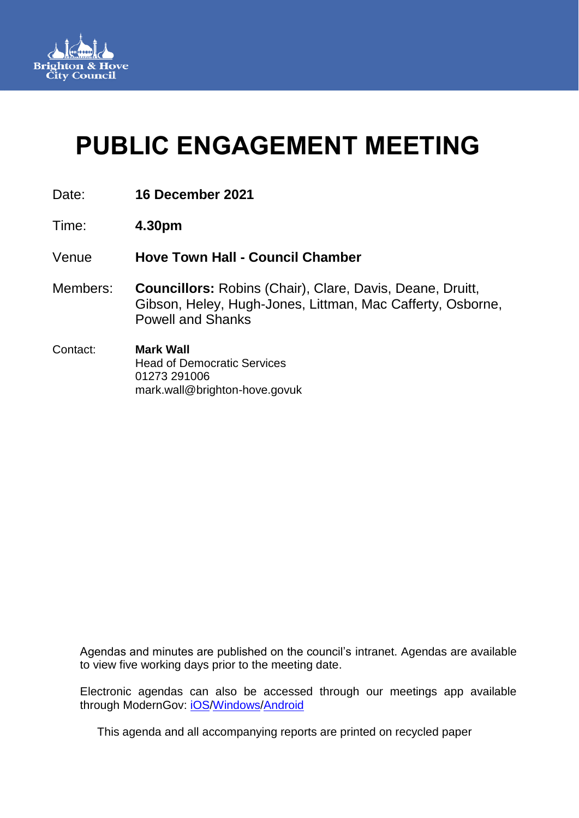

# **PUBLIC ENGAGEMENT MEETING**

- Date: **16 December 2021**
- Time: **4.30pm**
- Venue **Hove Town Hall - Council Chamber**
- Members: **Councillors:** Robins (Chair), Clare, Davis, Deane, Druitt, Gibson, Heley, Hugh-Jones, Littman, Mac Cafferty, Osborne, Powell and Shanks
- mark.wall@brighton-hove.govuk Contact: **Mark Wall** Head of Democratic Services 01273 291006

Agendas and minutes are published on the council's intranet. Agendas are available to view five working days prior to the meeting date.

Electronic agendas can also be accessed through our meetings app available through ModernGov: [iOS/](https://play.google.com/store/apps/details?id=uk.co.moderngov.modgov&hl=en_GB)[Windows/](https://www.microsoft.com/en-gb/p/modgov/9nblggh0c7s7#activetab=pivot:overviewtab)[Android](https://play.google.com/store/apps/details?id=uk.co.moderngov.modgov&hl=en_GB)

This agenda and all accompanying reports are printed on recycled paper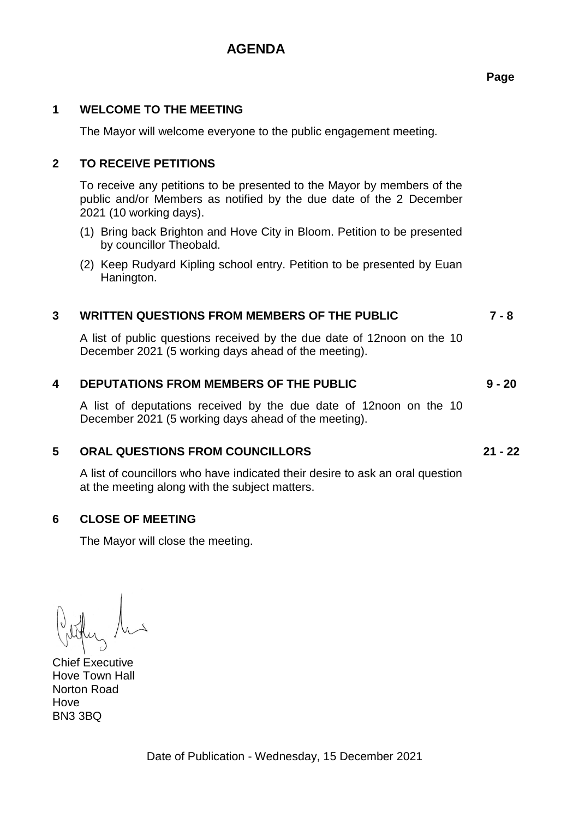## **AGENDA**

## **1 WELCOME TO THE MEETING**

The Mayor will welcome everyone to the public engagement meeting.

## **2 TO RECEIVE PETITIONS**

To receive any petitions to be presented to the Mayor by members of the public and/or Members as notified by the due date of the 2 December 2021 (10 working days).

- (1) Bring back Brighton and Hove City in Bloom. Petition to be presented by councillor Theobald.
- (2) Keep Rudyard Kipling school entry. Petition to be presented by Euan Hanington.

### **3 WRITTEN QUESTIONS FROM MEMBERS OF THE PUBLIC 7 - 8**

A list of public questions received by the due date of 12noon on the 10 December 2021 (5 working days ahead of the meeting).

#### **4 DEPUTATIONS FROM MEMBERS OF THE PUBLIC 9 - 20**

A list of deputations received by the due date of 12noon on the 10 December 2021 (5 working days ahead of the meeting).

#### **5 ORAL QUESTIONS FROM COUNCILLORS 21 - 22**

A list of councillors who have indicated their desire to ask an oral question at the meeting along with the subject matters.

#### **6 CLOSE OF MEETING**

The Mayor will close the meeting.

Chief Executive Hove Town Hall Norton Road **Hove** BN3 3BQ